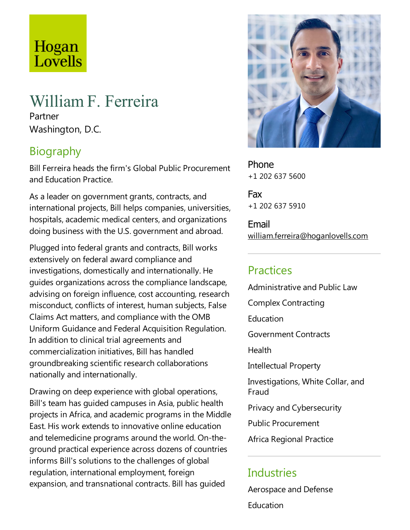# Hogan Lovells

# WilliamF. Ferreira

Partner Washington, D.C.

# **Biography**

Bill Ferreira heads the firm's Global Public Procurement and Education Practice.

As a leader on government grants, contracts, and international projects, Bill helps companies, universities, hospitals, academic medical centers, and organizations doing business with the U.S. government and abroad.

Plugged into federal grants and contracts, Bill works extensively on federal award compliance and investigations, domestically and internationally. He guides organizations across the compliance landscape, advising on foreign influence, cost accounting, research misconduct, conflicts of interest, human subjects, False Claims Act matters, and compliance with the OMB Uniform Guidance and Federal Acquisition Regulation. In addition to clinical trial agreements and commercialization initiatives, Bill has handled groundbreaking scientific research collaborations nationally and internationally.

Drawing on deep experience with global operations, Bill's team has guided campuses in Asia, public health projects in Africa,and academic programs in the Middle East. His work extends to innovative online education and telemedicine programs around the world. On-theground practical experience across dozens of countries informs Bill's solutions to the challenges of global regulation, international employment, foreign expansion, and transnational contracts. Bill has quided



Phone +1 202 637 5600

Fax +1 202 637 5910

Email william.ferreira@hoganlovells.com

### **Practices**

Administrative and Public Law Complex Contracting **Education** Government Contracts Health Intellectual Property Investigations, White Collar, and Fraud Privacy and Cybersecurity Public Procurement Africa Regional Practice

### **Industries**

Aerospace and Defense **Education**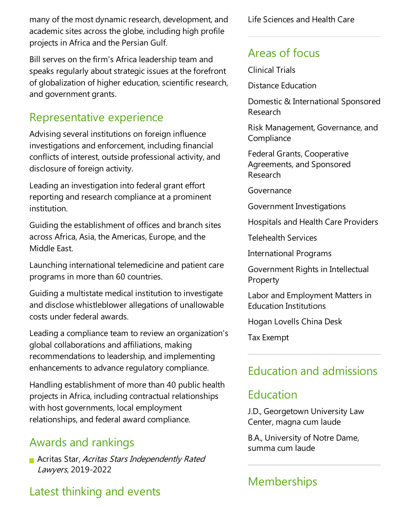many of the most dynamic research, development, and academic sites across the globe, including high profile projects in Africa and the Persian Gulf.

Bill serves on the firm's Africa leadership team and speaks regularly about strategic issues at the forefront of globalization of higher education, scientificresearch, and government grants.

### Representative experience

Advising several institutions on foreign influence investigations and enforcement, including financial conflicts of interest, outside professional activity, and disclosure of foreign activity.

Leading an investigation into federal grant effort reporting and research compliance at a prominent institution.

Guiding the establishment of offices and branch sites across Africa, Asia, the Americas, Europe, and the Middle East.

Launching international telemedicine and patient care programs in more than 60 countries.

Guiding a multistate medical institution to investigate and disclose whistleblower allegations of unallowable costs under federal awards.

Leading a compliance team to review an organization's global collaborations and affiliations, making recommendations to leadership, and implementing enhancements to advance regulatory compliance.

Handling establishment of more than 40 public health projects in Africa, including contractual relationships with host governments, local employment relationships, and federal award compliance.

### Awards and rankings

**Acritas Star, Acritas Stars Independently Rated** Lawyers, 2019-2022

# Latest thinking and events

Life Sciences and Health Care

# Areas of focus

Clinical Trials

Distance Education

Domestic & International Sponsored Research

Risk Management, Governance, and **Compliance** 

Federal Grants, Cooperative Agreements, and Sponsored Research

Governance

Government Investigations

Hospitals and Health Care Providers

Telehealth Services

International Programs

Government Rights in Intellectual **Property** 

Labor and Employment Matters in Education Institutions

Hogan Lovells China Desk

**Tax Exempt** 

# Education and admissions

### Education

J.D., Georgetown University Law Center, magna cum laude

B.A., University of Notre Dame, summa cum laude

# **Memberships**